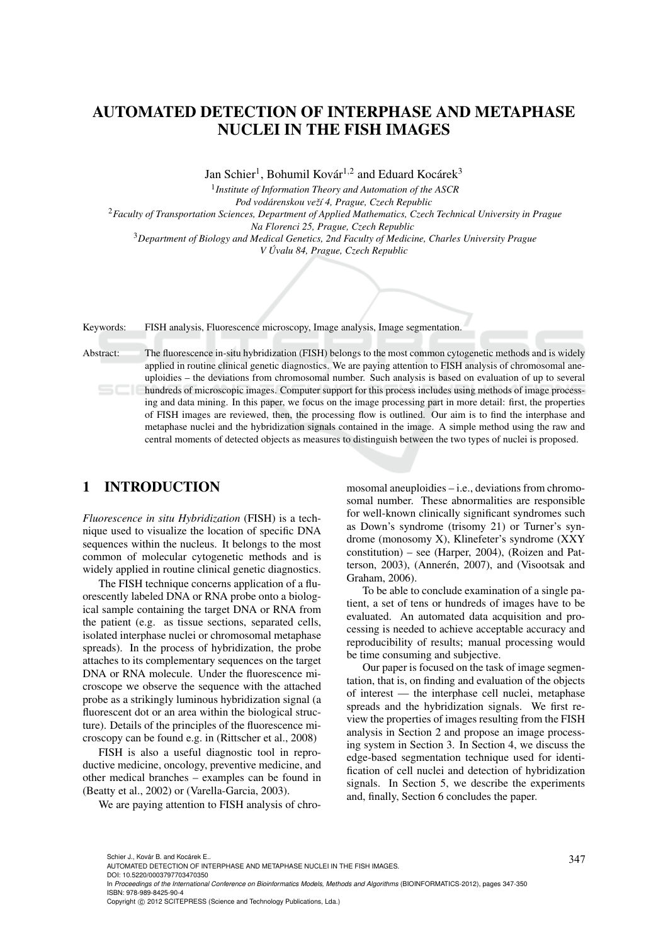# AUTOMATED DETECTION OF INTERPHASE AND METAPHASE NUCLEI IN THE FISH IMAGES

Jan Schier<sup>1</sup>, Bohumil Kovár<sup>1,2</sup> and Eduard Kocárek<sup>3</sup>

1 *Institute of Information Theory and Automation of the ASCR*

*Pod vodarenskou ve ´ zˇ´ı 4, Prague, Czech Republic* <sup>2</sup>*Faculty of Transportation Sciences, Department of Applied Mathematics, Czech Technical University in Prague Na Florenci 25, Prague, Czech Republic* <sup>3</sup>*Department of Biology and Medical Genetics, 2nd Faculty of Medicine, Charles University Prague V Uvalu 84, Prague, Czech Republic ´*

Keywords: FISH analysis, Fluorescence microscopy, Image analysis, Image segmentation.

Abstract: The fluorescence in-situ hybridization (FISH) belongs to the most common cytogenetic methods and is widely applied in routine clinical genetic diagnostics. We are paying attention to FISH analysis of chromosomal aneuploidies – the deviations from chromosomal number. Such analysis is based on evaluation of up to several hundreds of microscopic images. Computer support for this process includes using methods of image processing and data mining. In this paper, we focus on the image processing part in more detail: first, the properties of FISH images are reviewed, then, the processing flow is outlined. Our aim is to find the interphase and metaphase nuclei and the hybridization signals contained in the image. A simple method using the raw and central moments of detected objects as measures to distinguish between the two types of nuclei is proposed.

# 1 INTRODUCTION

*Fluorescence in situ Hybridization* (FISH) is a technique used to visualize the location of specific DNA sequences within the nucleus. It belongs to the most common of molecular cytogenetic methods and is widely applied in routine clinical genetic diagnostics.

The FISH technique concerns application of a fluorescently labeled DNA or RNA probe onto a biological sample containing the target DNA or RNA from the patient (e.g. as tissue sections, separated cells, isolated interphase nuclei or chromosomal metaphase spreads). In the process of hybridization, the probe attaches to its complementary sequences on the target DNA or RNA molecule. Under the fluorescence microscope we observe the sequence with the attached probe as a strikingly luminous hybridization signal (a fluorescent dot or an area within the biological structure). Details of the principles of the fluorescence microscopy can be found e.g. in (Rittscher et al., 2008)

FISH is also a useful diagnostic tool in reproductive medicine, oncology, preventive medicine, and other medical branches – examples can be found in (Beatty et al., 2002) or (Varella-Garcia, 2003).

We are paying attention to FISH analysis of chro-

mosomal aneuploidies – i.e., deviations from chromosomal number. These abnormalities are responsible for well-known clinically significant syndromes such as Down's syndrome (trisomy 21) or Turner's syndrome (monosomy X), Klinefeter's syndrome (XXY constitution) – see (Harper, 2004), (Roizen and Patterson, 2003), (Annerén, 2007), and (Visootsak and Graham, 2006).

To be able to conclude examination of a single patient, a set of tens or hundreds of images have to be evaluated. An automated data acquisition and processing is needed to achieve acceptable accuracy and reproducibility of results; manual processing would be time consuming and subjective.

Our paper is focused on the task of image segmentation, that is, on finding and evaluation of the objects of interest — the interphase cell nuclei, metaphase spreads and the hybridization signals. We first review the properties of images resulting from the FISH analysis in Section 2 and propose an image processing system in Section 3. In Section 4, we discuss the edge-based segmentation technique used for identification of cell nuclei and detection of hybridization signals. In Section 5, we describe the experiments and, finally, Section 6 concludes the paper.

DOI: 10.5220/0003797703470350

In *Proceedings of the International Conference on Bioinformatics Models, Methods and Algorithms* (BIOINFORMATICS-2012), pages 347-350 ISBN: 978-989-8425-90-4

Schier J., Kovár B. and Kocárek E..<br>AUTOMATED DETECTION OF INTERPHASE AND METAPHASE NUCLEI IN THE FISH IMAGES.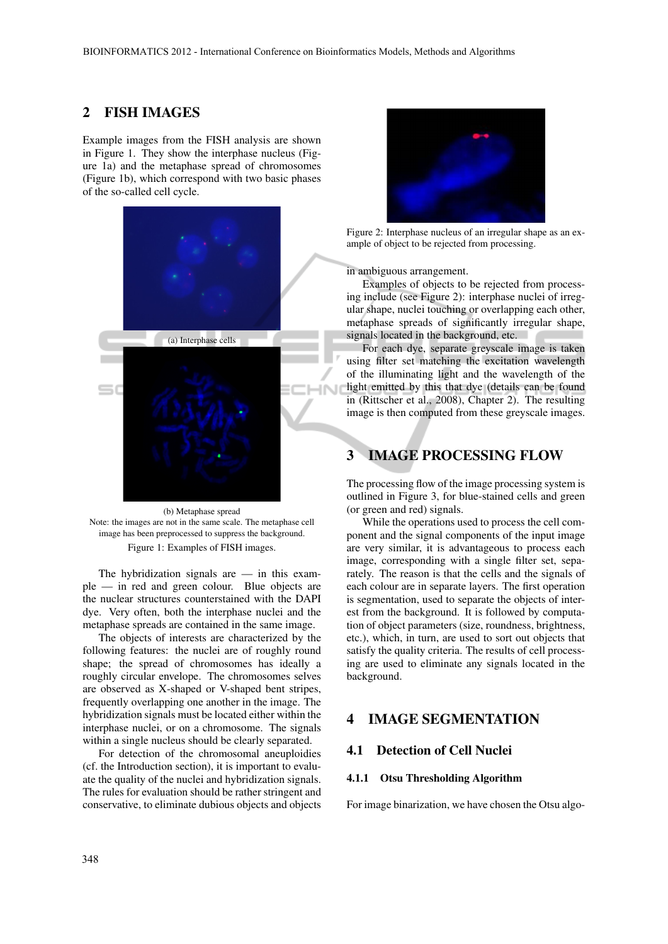### 2 FISH IMAGES

Example images from the FISH analysis are shown in Figure 1. They show the interphase nucleus (Figure 1a) and the metaphase spread of chromosomes (Figure 1b), which correspond with two basic phases of the so-called cell cycle.



(b) Metaphase spread Note: the images are not in the same scale. The metaphase cell image has been preprocessed to suppress the background. Figure 1: Examples of FISH images.

The hybridization signals are  $-$  in this example — in red and green colour. Blue objects are the nuclear structures counterstained with the DAPI dye. Very often, both the interphase nuclei and the metaphase spreads are contained in the same image.

The objects of interests are characterized by the following features: the nuclei are of roughly round shape; the spread of chromosomes has ideally a roughly circular envelope. The chromosomes selves are observed as X-shaped or V-shaped bent stripes, frequently overlapping one another in the image. The hybridization signals must be located either within the interphase nuclei, or on a chromosome. The signals within a single nucleus should be clearly separated.

For detection of the chromosomal aneuploidies (cf. the Introduction section), it is important to evaluate the quality of the nuclei and hybridization signals. The rules for evaluation should be rather stringent and conservative, to eliminate dubious objects and objects



Figure 2: Interphase nucleus of an irregular shape as an example of object to be rejected from processing.

in ambiguous arrangement.

Examples of objects to be rejected from processing include (see Figure 2): interphase nuclei of irregular shape, nuclei touching or overlapping each other, metaphase spreads of significantly irregular shape, signals located in the background, etc.

For each dye, separate greyscale image is taken using filter set matching the excitation wavelength of the illuminating light and the wavelength of the light emitted by this that dye (details can be found in (Rittscher et al., 2008), Chapter 2). The resulting image is then computed from these greyscale images.

# 3 IMAGE PROCESSING FLOW

The processing flow of the image processing system is outlined in Figure 3, for blue-stained cells and green (or green and red) signals.

While the operations used to process the cell component and the signal components of the input image are very similar, it is advantageous to process each image, corresponding with a single filter set, separately. The reason is that the cells and the signals of each colour are in separate layers. The first operation is segmentation, used to separate the objects of interest from the background. It is followed by computation of object parameters (size, roundness, brightness, etc.), which, in turn, are used to sort out objects that satisfy the quality criteria. The results of cell processing are used to eliminate any signals located in the background.

# 4 IMAGE SEGMENTATION

### 4.1 Detection of Cell Nuclei

### 4.1.1 Otsu Thresholding Algorithm

For image binarization, we have chosen the Otsu algo-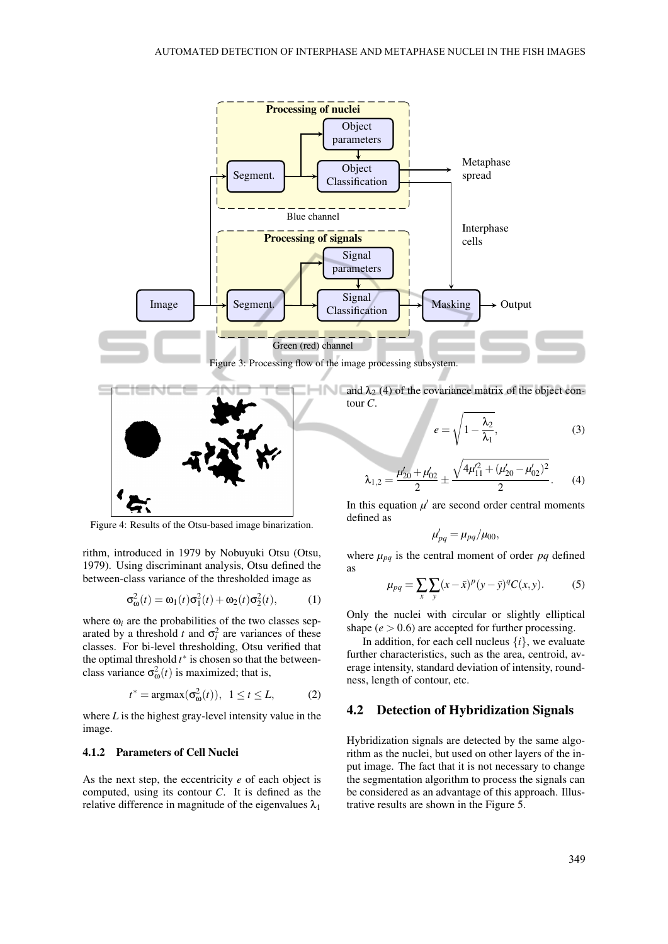

$$
\lambda_{1,2} = \frac{\mu'_{20} + \mu'_{02}}{2} \pm \frac{\sqrt{4\mu'^2_{11} + (\mu'_{20} - \mu'_{02})^2}}{2}.
$$
 (4)

In this equation  $\mu'$  are second order central moments defined as

$$
\mu'_{pq} = \mu_{pq}/\mu_{00},
$$

where  $\mu_{pq}$  is the central moment of order *pq* defined as

$$
\mu_{pq} = \sum_{x} \sum_{y} (x - \bar{x})^p (y - \bar{y})^q C(x, y).
$$
 (5)

Only the nuclei with circular or slightly elliptical shape  $(e > 0.6)$  are accepted for further processing.

In addition, for each cell nucleus  $\{i\}$ , we evaluate further characteristics, such as the area, centroid, average intensity, standard deviation of intensity, roundness, length of contour, etc.

#### 4.2 Detection of Hybridization Signals

Hybridization signals are detected by the same algorithm as the nuclei, but used on other layers of the input image. The fact that it is not necessary to change the segmentation algorithm to process the signals can be considered as an advantage of this approach. Illustrative results are shown in the Figure 5.

Figure 4: Results of the Otsu-based image binarization.

rithm, introduced in 1979 by Nobuyuki Otsu (Otsu, 1979). Using discriminant analysis, Otsu defined the between-class variance of the thresholded image as

$$
\sigma_{\omega}^2(t) = \omega_1(t)\sigma_1^2(t) + \omega_2(t)\sigma_2^2(t), \qquad (1)
$$

where  $\omega_i$  are the probabilities of the two classes separated by a threshold *t* and  $\sigma_i^2$  are variances of these classes. For bi-level thresholding, Otsu verified that the optimal threshold  $t^*$  is chosen so that the betweenclass variance  $\sigma_{\omega}^2(t)$  is maximized; that is,

$$
t^* = \operatorname{argmax}(\sigma^2_{\omega}(t)), \ \ 1 \le t \le L,\tag{2}
$$

where *L* is the highest gray-level intensity value in the image.

#### 4.1.2 Parameters of Cell Nuclei

As the next step, the eccentricity *e* of each object is computed, using its contour *C*. It is defined as the relative difference in magnitude of the eigenvalues  $\lambda_1$